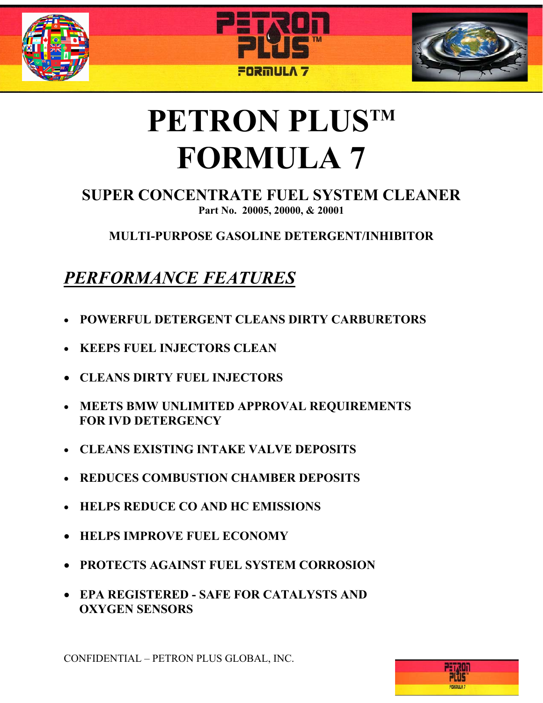





# **PETRON PLUSTM FORMULA 7**

#### **SUPER CONCENTRATE FUEL SYSTEM CLEANER Part No. 20005, 20000, & 20001**

**MULTI-PURPOSE GASOLINE DETERGENT/INHIBITOR** 

# *PERFORMANCE FEATURES*

- **POWERFUL DETERGENT CLEANS DIRTY CARBURETORS**
- **KEEPS FUEL INJECTORS CLEAN**
- **CLEANS DIRTY FUEL INJECTORS**
- **MEETS BMW UNLIMITED APPROVAL REQUIREMENTS FOR IVD DETERGENCY**
- **CLEANS EXISTING INTAKE VALVE DEPOSITS**
- **REDUCES COMBUSTION CHAMBER DEPOSITS**
- **HELPS REDUCE CO AND HC EMISSIONS**
- **HELPS IMPROVE FUEL ECONOMY**
- **PROTECTS AGAINST FUEL SYSTEM CORROSION**
- **EPA REGISTERED SAFE FOR CATALYSTS AND OXYGEN SENSORS**

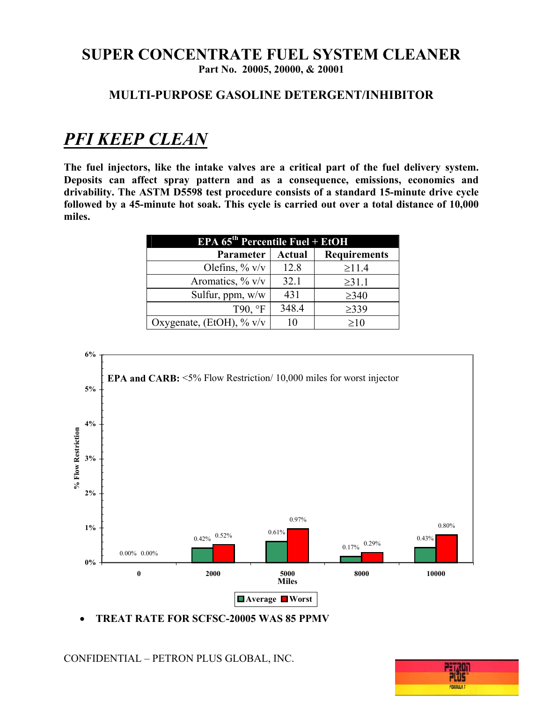#### **MULTI-PURPOSE GASOLINE DETERGENT/INHIBITOR**

## *PFI KEEP CLEAN*

**The fuel injectors, like the intake valves are a critical part of the fuel delivery system. Deposits can affect spray pattern and as a consequence, emissions, economics and drivability. The ASTM D5598 test procedure consists of a standard 15-minute drive cycle followed by a 45-minute hot soak. This cycle is carried out over a total distance of 10,000 miles.**

| <b>EPA <math>65^{\text{th}}</math> Percentile Fuel + EtOH</b> |               |                     |
|---------------------------------------------------------------|---------------|---------------------|
| <b>Parameter</b>                                              | <b>Actual</b> | <b>Requirements</b> |
| Olefins, $\%$ v/v                                             | 12.8          | $\geq$ 11.4         |
| Aromatics, $\%$ v/v                                           | 32.1          | $\geq$ 31.1         |
| Sulfur, ppm, w/w                                              | 431           | $\geq 340$          |
| T90, °F                                                       | 348.4         | $\geq$ 339          |
| Oxygenate, (EtOH), $\%$ v/v                                   | 10            | $\geq 10$           |



• **TREAT RATE FOR SCFSC-20005 WAS 85 PPMV** 

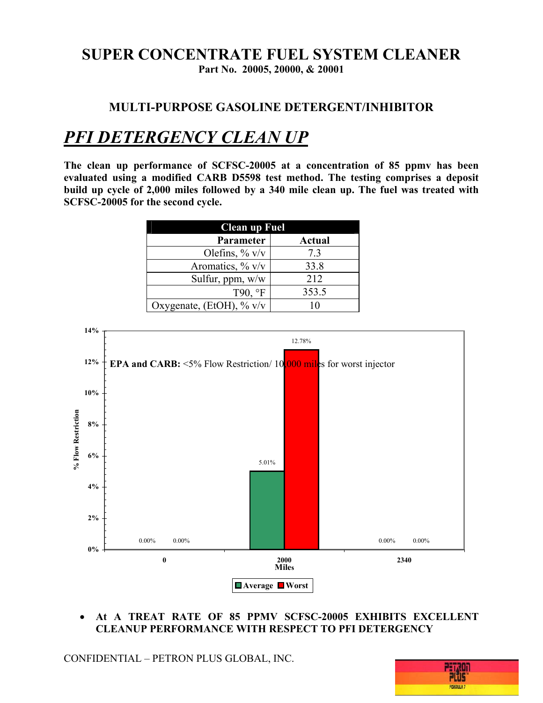# **SUPER CONCENTRATE FUEL SYSTEM CLEANER**

**Part No. 20005, 20000, & 20001** 

#### **MULTI-PURPOSE GASOLINE DETERGENT/INHIBITOR**

# *PFI DETERGENCY CLEAN UP*

**The clean up performance of SCFSC-20005 at a concentration of 85 ppmv has been evaluated using a modified CARB D5598 test method. The testing comprises a deposit build up cycle of 2,000 miles followed by a 340 mile clean up. The fuel was treated with SCFSC-20005 for the second cycle.**

| <b>Clean up Fuel</b>     |        |
|--------------------------|--------|
| Parameter                | Actual |
| Olefins, $\%$ v/v        | 73     |
| Aromatics, $\%$ v/v      | 33.8   |
| Sulfur, ppm, w/w         | 212    |
| T90, °F                  | 353.5  |
| Oxygenate, (EtOH), % v/v | 10     |



#### • **At A TREAT RATE OF 85 PPMV SCFSC-20005 EXHIBITS EXCELLENT CLEANUP PERFORMANCE WITH RESPECT TO PFI DETERGENCY**

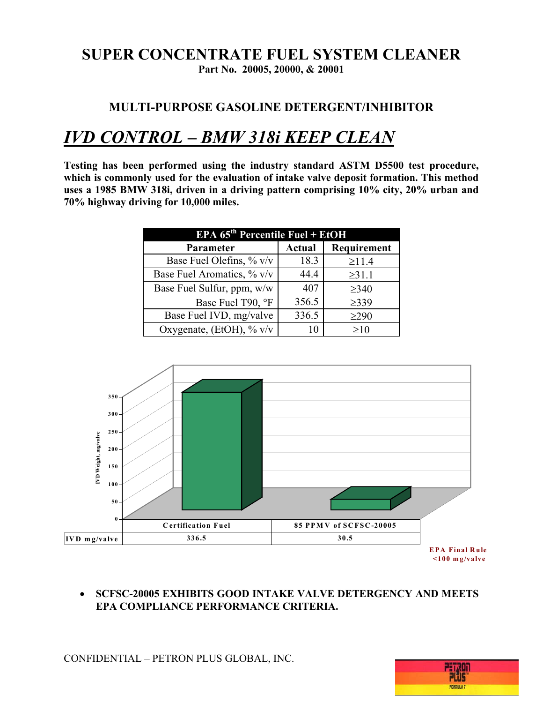#### **MULTI-PURPOSE GASOLINE DETERGENT/INHIBITOR**

### *IVD CONTROL – BMW 318i KEEP CLEAN*

**Testing has been performed using the industry standard ASTM D5500 test procedure,**  which is commonly used for the evaluation of intake valve deposit formation. This method **uses a 1985 BMW 318i, driven in a driving pattern comprising 10% city, 20% urban and 70% highway driving for 10,000 miles.**

| <b>EPA <math>65th</math> Percentile Fuel + EtOH</b> |               |             |
|-----------------------------------------------------|---------------|-------------|
| Parameter                                           | <b>Actual</b> | Requirement |
| Base Fuel Olefins, $\%$ v/v                         | 18.3          | $\geq 11.4$ |
| Base Fuel Aromatics, % v/v                          | 44.4          | $\geq 31.1$ |
| Base Fuel Sulfur, ppm, w/w                          | 407           | $\geq$ 340  |
| Base Fuel T90, °F                                   | 356.5         | $\geq$ 339  |
| Base Fuel IVD, mg/valve                             | 336.5         | $\geq$ 290  |
| Oxygenate, (EtOH), $\%$ v/v                         | 10            | $\geq 10$   |



• **SCFSC-20005 EXHIBITS GOOD INTAKE VALVE DETERGENCY AND MEETS EPA COMPLIANCE PERFORMANCE CRITERIA.** 

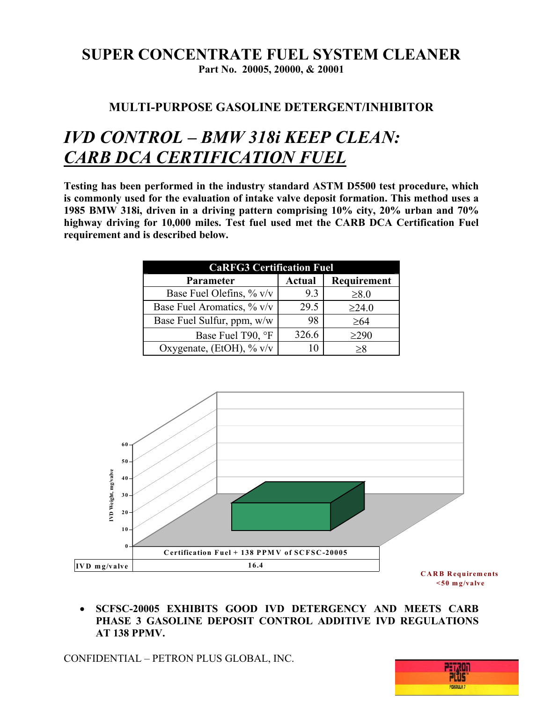#### **MULTI-PURPOSE GASOLINE DETERGENT/INHIBITOR**

## *IVD CONTROL – BMW 318i KEEP CLEAN: CARB DCA CERTIFICATION FUEL*

**Testing has been performed in the industry standard ASTM D5500 test procedure, which is commonly used for the evaluation of intake valve deposit formation. This method uses a 1985 BMW 318i, driven in a driving pattern comprising 10% city, 20% urban and 70% highway driving for 10,000 miles. Test fuel used met the CARB DCA Certification Fuel requirement and is described below.**

| <b>CaRFG3 Certification Fuel</b> |               |             |  |
|----------------------------------|---------------|-------------|--|
| Parameter                        | <b>Actual</b> | Requirement |  |
| Base Fuel Olefins, $\%$ v/v      | 9.3           | $\geq 8.0$  |  |
| Base Fuel Aromatics, % v/v       | 29.5          | $\geq$ 24.0 |  |
| Base Fuel Sulfur, ppm, w/w       | 98            | $\geq 64$   |  |
| Base Fuel T90, °F                | 326.6         | $\geq$ 290  |  |
| Oxygenate, (EtOH), % v/v         | 10            | >8          |  |



• **SCFSC-20005 EXHIBITS GOOD IVD DETERGENCY AND MEETS CARB PHASE 3 GASOLINE DEPOSIT CONTROL ADDITIVE IVD REGULATIONS AT 138 PPMV.** 

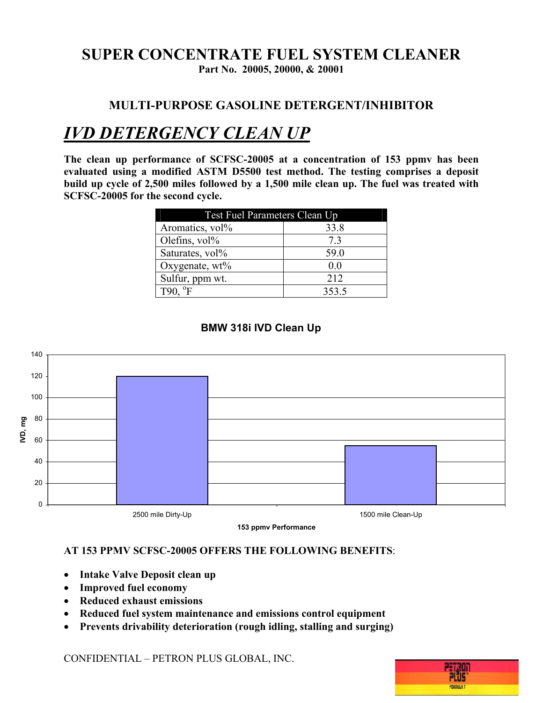# **SUPER CONCENTRATE FUEL SYSTEM CLEANER**

**Part No. 20005, 20000, & 20001** 

#### **MULTI-PURPOSE GASOLINE DETERGENT/INHIBITOR**

# *IVD DETERGENCY CLEAN UP*

**The clean up performance of SCFSC-20005 at a concentration of 153 ppmv has been evaluated using a modified ASTM D5500 test method. The testing comprises a deposit build up cycle of 2,500 miles followed by a 1,500 mile clean up. The fuel was treated with SCFSC-20005 for the second cycle.** 

| <b>Test Fuel Parameters Clean Up</b> |       |
|--------------------------------------|-------|
| Aromatics, vol <sup>%</sup>          | 33.8  |
| Olefins, vol%                        | 73    |
| Saturates, vol%                      | 59.0  |
| Oxygenate, wt%                       | 0.0   |
| Sulfur, ppm wt.                      | 212   |
| $T90.$ °F                            | 353.5 |



#### **BMW 318i IVD Clean Up**

#### **AT 153 PPMV SCFSC-20005 OFFERS THE FOLLOWING BENEFITS**:

- **Intake Valve Deposit clean up**
- **Improved fuel economy**
- **Reduced exhaust emissions**
- **Reduced fuel system maintenance and emissions control equipment**
- **Prevents drivability deterioration (rough idling, stalling and surging)**

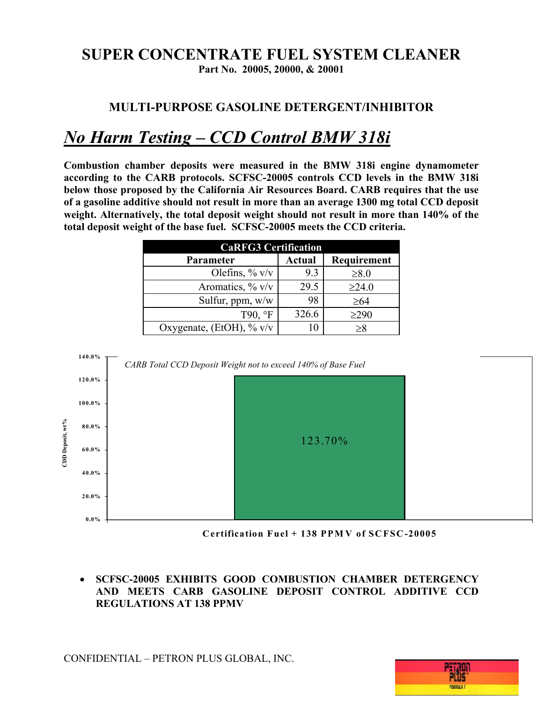# **SUPER CONCENTRATE FUEL SYSTEM CLEANER**

**Part No. 20005, 20000, & 20001** 

#### **MULTI-PURPOSE GASOLINE DETERGENT/INHIBITOR**

## *No Harm Testing – CCD Control BMW 318i*

**Combustion chamber deposits were measured in the BMW 318i engine dynamometer according to the CARB protocols. SCFSC-20005 controls CCD levels in the BMW 318i below those proposed by the California Air Resources Board. CARB requires that the use of a gasoline additive should not result in more than an average 1300 mg total CCD deposit weight. Alternatively, the total deposit weight should not result in more than 140% of the total deposit weight of the base fuel. SCFSC-20005 meets the CCD criteria.** 

| <b>CaRFG3 Certification</b> |               |             |
|-----------------------------|---------------|-------------|
| <b>Parameter</b>            | <b>Actual</b> | Requirement |
| Olefins, $\%$ v/v           | 93            | $\geq 8.0$  |
| Aromatics, $\%$ v/v         | 29.5          | $\geq$ 24.0 |
| Sulfur, ppm, w/w            | 98            | $\geq 64$   |
| T90, °F                     | 326.6         | $\geq$ 290  |
| Oxygenate, (EtOH), $\%$ v/v |               | $\geq 8$    |



**Certification Fuel + 138 PPM V of SCFSC-20005**

• **SCFSC-20005 EXHIBITS GOOD COMBUSTION CHAMBER DETERGENCY AND MEETS CARB GASOLINE DEPOSIT CONTROL ADDITIVE CCD REGULATIONS AT 138 PPMV**